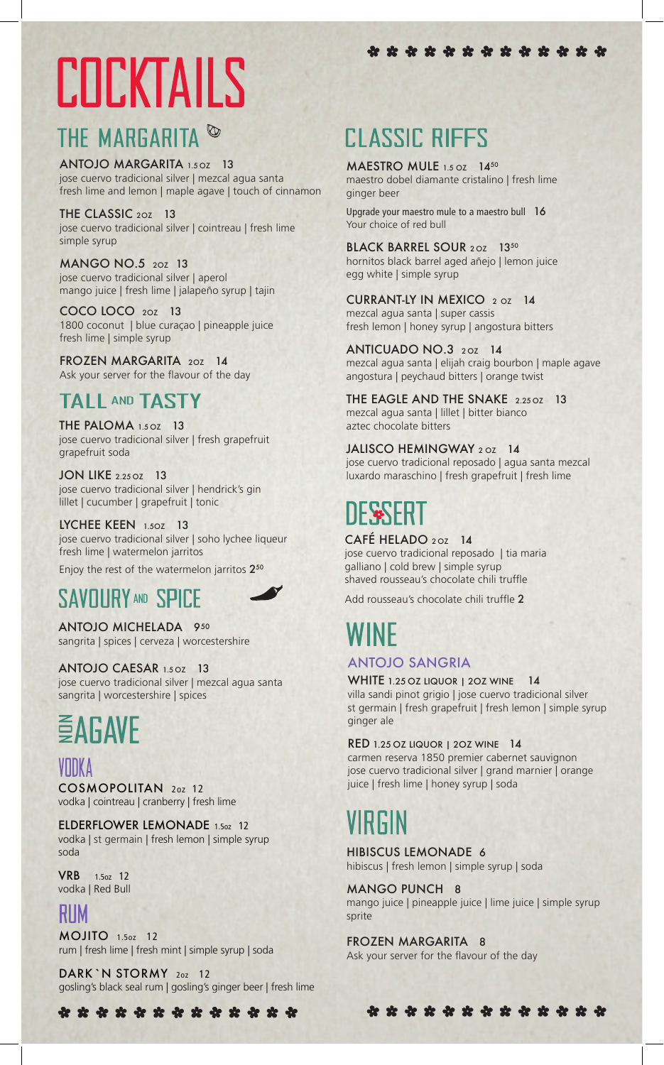# **COCKTAILS**

## THE MARGARITA<sup>®</sup>

ANTOJO MARGARITA 1.50Z 13 jose cuervo tradicional silver | mezcal agua santa fresh lime and lemon | maple agave | touch of cinnamon

THE CLASSIC 20Z 13 jose cuervo tradicional silver | cointreau | fresh lime simple syrup

MANGO NO.5 2OZ 13 jose cuervo tradicional silver | aperol mango juice | fresh lime | jalapeño syrup | tajin

COCO LOCO 2OZ 13 1800 coconut | blue curaçao | pineapple juice fresh lime | simple syrup

FROZEN MARGARITA 2OZ 14 Ask your server for the flavour of the day

## TALL AND TASTY

THE PALOMA 1.5 OZ 13 jose cuervo tradicional silver | fresh grapefruit grapefruit soda

JON LIKE 2.25 OZ 13 jose cuervo tradicional silver | hendrick's gin lillet | cucumber | grapefruit | tonic

LYCHEE KEEN 1.50Z 13 jose cuervo tradicional silver | soho lychee liqueur fresh lime | watermelon jarritos

Enjoy the rest of the watermelon jarritos 2<sup>50</sup>

## **SAVOURY AND SPICE**

ANTOJO MICHELADA 950 sangrita | spices | cerveza | worcestershire

ANTOJO CAESAR 1.5 OZ 13 jose cuervo tradicional silver | mezcal agua santa sangrita | worcestershire | spices

## **EAGAVE**

juice | fresh lime | honey syrup | soda COSMOPOLITAN 2oz <sup>12</sup> vodka | cointreau | cranberry | fresh lime

ELDERFLOWER LEMONADE 1.5oz 12 vodka | st germain | fresh lemon | simple syrup soda

VRB 1.5oz 12 vodka | Red Bull

## RIM

MOJITO 1.5oz 12 rum | fresh lime | fresh mint | simple syrup | soda

DARK `N STORMY 20Z 12 gosling's black seal rum | gosling's ginger beer | fresh lime

\* \* \* \* \* \* \* \* \* \* \* \* \* \*

## **CLASSIC RIFFS**

MAESTRO MULE 1.5 OZ 1450 maestro dobel diamante cristalino | fresh lime ginger beer

Upgrade your maestro mule to a maestro bull 16 Your choice of red bull

BLACK BARREL SOUR 20Z 1350 hornitos black barrel aged añejo | lemon juice egg white | simple syrup

CURRANT-LY IN MEXICO 2 OZ 14 mezcal agua santa | super cassis fresh lemon | honey syrup | angostura bitters

ANTICUADO NO.3 20Z 14 mezcal agua santa | elijah craig bourbon | maple agave angostura | peychaud bitters | orange twist

THE EAGLE AND THE SNAKE 2.25 OZ 13 mezcal agua santa | lillet | bitter bianco aztec chocolate bitters

JALISCO HEMINGWAY 202 14 jose cuervo tradicional reposado | agua santa mezcal luxardo maraschino | fresh grapefruit | fresh lime

CAFÉ HELADO 20Z 14

jose cuervo tradicional reposado | tia maria galliano | cold brew | simple syrup shaved rousseau's chocolate chili truffle

Add rousseau's chocolate chili truffle 2

## 'INF

### ANTOJO SANGRIA

WHITE 1.25 OZ LIQUOR | 20Z WINE 14 villa sandi pinot grigio | jose cuervo tradicional silver st germain | fresh grapefruit | fresh lemon | simple syrup ginger ale

RED 1.25 OZ LIQUOR | 2OZ WINE 14

carmen reserva 1850 premier cabernet sauvignon jose cuervo tradicional silver | grand marnier | orange

HIBISCUS LEMONADE 6 hibiscus | fresh lemon | simple syrup | soda

MANGO PUNCH 8

mango juice | pineapple juice | lime juice | simple syrup sprite

\* \* \* \* \* \* \* \* \* \* \* \* \*

FROZEN MARGARITA 8 Ask your server for the flavour of the day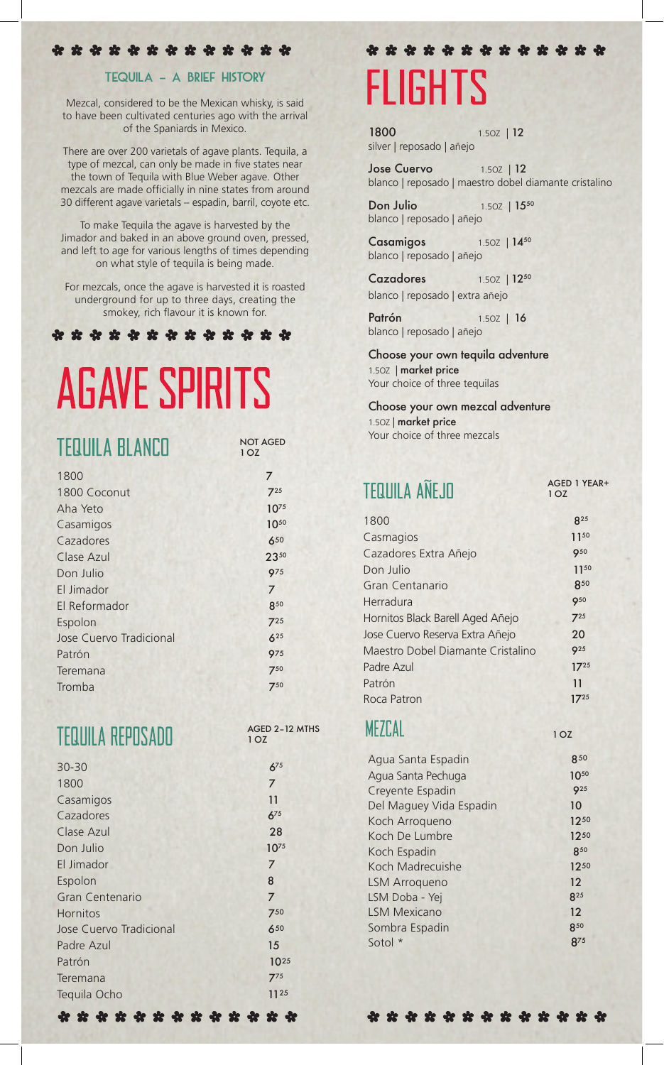#### \* \* \* \* \* \* \* \* \* \* \* \* \*

#### TEQUILA – A BRIEF HISTORY

Mezcal, considered to be the Mexican whisky, is said to have been cultivated centuries ago with the arrival of the Spaniards in Mexico.

There are over 200 varietals of agave plants. Tequila, a type of mezcal, can only be made in five states near the town of Tequila with Blue Weber agave. Other mezcals are made officially in nine states from around 30 different agave varietals – espadin, barril, coyote etc.

To make Tequila the agave is harvested by the Jimador and baked in an above ground oven, pressed, and left to age for various lengths of times depending on what style of tequila is being made.

For mezcals, once the agave is harvested it is roasted underground for up to three days, creating the smokey, rich flavour it is known for.

\* \* \* \* \* \* \* \* \* \* \* \* \* \*

# **AGAVE SPIRITS**

| <b>TEQUILA BLANCO</b>   | <b>NOT AGED</b><br>1 O Z |  |
|-------------------------|--------------------------|--|
| 1800                    | 7                        |  |
| 1800 Coconut            | $7^{25}$                 |  |
| Aha Yeto                | $10^{75}$                |  |
| Casamigos               | 1050                     |  |
| Cazadores               | 650                      |  |
| Clase Azul              | 2350                     |  |
| Don Julio               | 975                      |  |
| El Jimador              | 7                        |  |
| El Reformador           | 850                      |  |
| Espolon                 | 725                      |  |
| Jose Cuervo Tradicional | $6^{25}$                 |  |
| Patrón                  | 975                      |  |
| Teremana                | 750                      |  |
| Tromba                  | 750                      |  |

**TEQUILA REPOSADO** 

| 30-30                   | $6^{75}$       |
|-------------------------|----------------|
| 1800                    | $\overline{7}$ |
| Casamigos               | 11             |
| Cazadores               | $6^{75}$       |
| Clase Azul              | 28             |
| Don Julio               | $10^{75}$      |
| El Jimador              | 7              |
| Espolon                 | 8              |
| Gran Centenario         | 7              |
| <b>Hornitos</b>         | 750            |
| Jose Cuervo Tradicional | 650            |
| Padre Azul              | 15             |
| Patrón                  | 1025           |
| Teremana                | $7^{75}$       |
| Tequila Ocho            | 1125           |
|                         |                |

## \* \* \* \* \* \* \* \* \* \* \* \* \* **FLIGHTS**

1800 1.50Z | 12 silver | reposado | añejo

Jose Cuervo 1.50Z | 12 blanco | reposado | maestro dobel diamante cristalino

Don Julio 1.50Z | 15<sup>50</sup> blanco | reposado | añejo

Casamigos 1.50Z | 1450 blanco | reposado | añejo

Cazadores 1.50Z | 1250 blanco | reposado | extra añejo

Patrón 1.50Z | 16 blanco | reposado | añejo

Choose your own tequila adventure 1.5OZ | market price Your choice of three tequilas

Choose your own mezcal adventure 1.5OZ | market price Your choice of three mezcals

## **TEQUILA AÑEJO**

MEZCAL

AGED 1 YEAR+ 1 OZ

1 OZ

| 1800                              | R <sup>25</sup> |
|-----------------------------------|-----------------|
| Casmagios                         | 1150            |
| Cazadores Extra Añejo             | <b>950</b>      |
| Don Julio                         | 1150            |
| Gran Centanario                   | 850             |
| Herradura                         | 950             |
| Hornitos Black Barell Aged Añejo  | $7^{25}$        |
| Jose Cuervo Reserva Extra Añejo   | 20              |
| Maestro Dobel Diamante Cristalino | 9 <sup>25</sup> |
| Padre Azul                        | $17^{25}$       |
| Patrón                            | 11              |
| Roca Patron                       | $17^{25}$       |
|                                   |                 |

|         | Agua Santa Espadin      | 850             |
|---------|-------------------------|-----------------|
|         | Agua Santa Pechuga      | 1050            |
|         | Creyente Espadin        | Q <sub>25</sub> |
|         | Del Maguey Vida Espadin | 10              |
|         | Koch Arroqueno          | 1250            |
|         | Koch De Lumbre          | 1250            |
|         | Koch Espadin            | 850             |
|         | Koch Madrecuishe        | 1250            |
|         | <b>LSM Arroqueno</b>    | 12              |
|         | LSM Doba - Yej          | 825             |
|         | <b>LSM Mexicano</b>     | 12              |
|         | Sombra Espadin          | 850             |
| Sotol * |                         | <b>875</b>      |
|         |                         |                 |

\* \* \* \* \* \* \* \* \* \* \* \* \*

AGED 2–12 MTHS

1 OZ

\* \* \* \* \* \* \* \* \* \* \* \* \* \*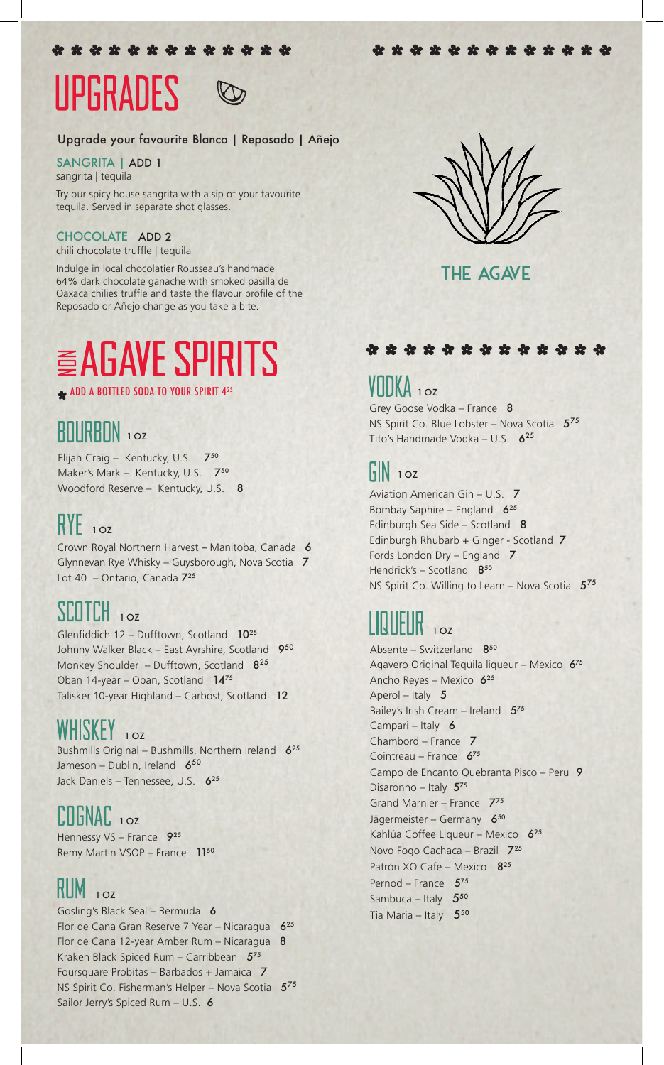\* \* \* \* \* \* \* \* \* \* \* \* \*

## UPGRADES

#### Upgrade your favourite Blanco | Reposado | Añejo

#### SANGRITA | ADD 1

sangrita | tequila

Try our spicy house sangrita with a sip of your favourite tequila. Served in separate shot glasses.

#### CHOCOLATE ADD 2

chili chocolate truffle | tequila

Indulge in local chocolatier Rousseau's handmade 64% dark chocolate ganache with smoked pasilla de Oaxaca chilies truffle and taste the flavour profile of the Reposado or Añejo change as you take a bite.

## **AGAVE SPIRITS**

ADD A BOTTLED SODA TO YOUR SPIRIT 425

## **RNIRBON** 10Z

Elijah Craig – Kentucky, U.S. 750 Maker's Mark - Kentucky, U.S. 750 Woodford Reserve – Kentucky, U.S. 8

## $RYE$ <sub>10z</sub>

Crown Royal Northern Harvest – Manitoba, Canada 6 Glynnevan Rye Whisky – Guysborough, Nova Scotia 7 Lot 40 – Ontario, Canada 725

## SCOTCH<sub>102</sub>

Glenfiddich  $12 -$  Dufftown, Scotland  $10^{25}$ Johnny Walker Black – East Ayrshire, Scotland 950 Monkey Shoulder – Dufftown, Scotland  $8^{25}$ Oban 14-year – Oban, Scotland 1475 Talisker 10-year Highland – Carbost, Scotland 12

## WHISKEY 10Z

Bushmills Original – Bushmills, Northern Ireland 6<sup>25</sup> Jameson – Dublin, Ireland  $6^{50}$ Jack Daniels – Tennessee, U.S. 6<sup>25</sup>

### $C<sub>II</sub>$  OZ

Hennessy VS - France 925 Remy Martin VSOP – France 1150

#### RUM  $10Z$

Gosling's Black Seal – Bermuda 6 Flor de Cana Gran Reserve 7 Year – Nicaragua  $6^{25}$ Flor de Cana 12-year Amber Rum - Nicaragua 8 Kraken Black Spiced Rum – Carribbean  $5^{75}$ Foursquare Probitas – Barbados + Jamaica 7 NS Spirit Co. Fisherman's Helper – Nova Scotia  $5^{75}$ Sailor Jerry's Spiced Rum - U.S. 6



THE AGAVE

### \* \* \* \* \* \* \* \* \* \* \* \* \*

## $DKA$  10z

Grey Goose Vodka – France 8 NS Spirit Co. Blue Lobster – Nova Scotia  $5^{75}$ Tito's Handmade Vodka - U.S. 6<sup>25</sup>

## $\frac{1}{2}$  N  $\frac{1}{2}$

Aviation American Gin – U.S. 7 Bombay Saphire – England  $6^{25}$ Edinburgh Sea Side – Scotland 8 Edinburgh Rhubarb + Ginger - Scotland 7 Fords London Dry – England 7 Hendrick's - Scotland 850 NS Spirit Co. Willing to Learn – Nova Scotia  $5^{75}$ 

## 1 OZ

Absente – Switzerland 850 Agavero Original Tequila liqueur – Mexico 675 Ancho Reyes – Mexico 625 Aperol – Italy 5 Bailey's Irish Cream – Ireland  $5^{75}$ Campari – Italy 6 Chambord – France 7 Cointreau – France 675 Campo de Encanto Quebranta Pisco – Peru 9 Disaronno – Italy 575 Grand Marnier – France 775 Jägermeister – Germany 650 Kahlúa Coffee Liqueur – Mexico 6<sup>25</sup> Novo Fogo Cachaca – Brazil 725 Patrón XO Cafe – Mexico 8<sup>25</sup> Pernod – France  $5^{75}$ Sambuca – Italy  $5^{50}$ Tia Maria – Italy  $5^{50}$